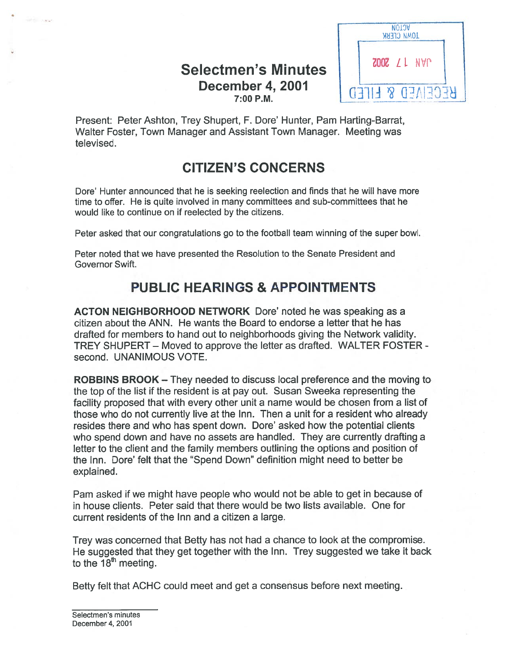## Selectmen's Minutes  $\frac{1}{1}$   $\frac{200Z}{21}$  NVP December 4, 2001  $7:00P.M.$



Present: Peter Ashton, Trey Shupert, F. Dore' Hunter, Pam Harting-Barrat, Walter Foster, Town Manager and Assistant Town Manager. Meeting was televised.

# CITIZEN'S CONCERNS

Dore' Hunter announced that he is seeking reelection and finds that he will have more time to offer. He is quite involved in many committees and sub-committees that he would like to continue on if reelected by the citizens.

Peter asked that our congratulations go to the football team winning of the super bowl.

Peter noted that we have presented the Resolution to the Senate President and Governor Swift.

# PUBLIC HEARINGS & APPOINTMENTS

ACTON NEIGHBORHOOD NETWORK Dore' noted he was speaking as <sup>a</sup> citizen about the ANN. He wants the Board to endorse <sup>a</sup> letter that he has drafted for members to hand out to neighborhoods giving the Network validity. TREY SHUPERT — Moved to approve the letter as drafted. WALTER FOSTER second. UNANIMOUS VOTE.

ROBBINS BROOK — They needed to discuss local preference and the moving to the top of the list if the resident is at pay out. Susan Sweeka representing the facility proposed that with every other unit <sup>a</sup> name would be chosen from <sup>a</sup> list of those who do not currently live at the Inn. Then <sup>a</sup> unit for <sup>a</sup> resident who already resides there and who has spent down. Dore' asked how the potential clients who spend down and have no assets are handled. They are currently drafting <sup>a</sup> letter to the client and the family members outlining the options and position of the Inn. Dare' felt that the "Spend Down" definition might need to better be explained.

Pam asked if we might have people who would not be able to ge<sup>t</sup> in because of in house clients. Peter said that there would be two lists available. One for current residents of the Inn and <sup>a</sup> citizen <sup>a</sup> large.

Trey was concerned that Betty has not had <sup>a</sup> chance to look at the compromise. He suggested that they ge<sup>t</sup> together with the Inn. Trey suggested we take it back to the  $18<sup>th</sup>$  meeting.

Betty felt that ACHC could meet and ge<sup>t</sup> <sup>a</sup> consensus before next meeting.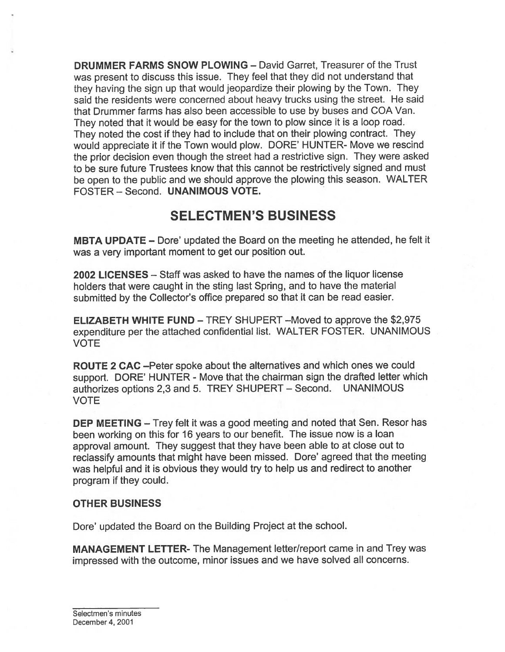DRUMMER FARMS SNOW PLOWING — David Garret, Treasurer of the Trust was presen<sup>t</sup> to discuss this issue. They feel that they did not understand that they having the sign up that would jeopardize their <sup>p</sup>lowing by the Town. They said the residents were concerned about heavy trucks using the street. He said that Drummer farms has also been accessible to use by buses and COA Van. They noted that it would be easy for the town to <sup>p</sup>low since it is <sup>a</sup> loop road. They noted the cost if they had to include that on their <sup>p</sup>lowing contract. They would appreciate it if the Town would <sup>p</sup>low. DORE' HUNTER- Move we rescind the prior decision even though the street had <sup>a</sup> restrictive sign. They were asked to be sure future Trustees know that this cannot be restrictively signed and must be open to the public and we should approve the <sup>p</sup>lowing this season. WALTER FOSTER — Second. UNANIMOUS VOTE.

## SELECTMEN'S BUSINESS

MBTA UPDATE – Dore' updated the Board on the meeting he attended, he felt it was <sup>a</sup> very important moment to ge<sup>t</sup> our position out.

2002 LICENSES — Staff was asked to have the names of the liquor license holders that were caught in the sting last Spring, and to have the material submitted by the Collector's office prepare<sup>d</sup> so that it can be read easier.

ELIZABETH WHITE FUND — TREY SHUPERT —Moved to approve the \$2,975 expenditure per the attached confidential list. WALTER FOSTER. UNANIMOUS VOTE

ROUTE 2 CAC —Peter spoke about the alternatives and which ones we could support. DORE' HUNTER - Move that the chairman sign the drafted letter which authorizes options 2,3 and 5. TREY SHUPERT — Second. UNANIMOUS VOTE

**DEP MEETING –** Trey felt it was a good meeting and noted that Sen. Resor has been working on this for 16 years to our benefit. The issue now is <sup>a</sup> loan approva<sup>l</sup> amount. They sugges<sup>t</sup> that they have been able to at close out to reclassify amounts that might have been missed. Dore' agree<sup>d</sup> that the meeting was helpful and it is obvious they would try to help us and redirect to another program if they could.

### OTHER BUSINESS

Dare' updated the Board on the Building Project at the school.

MANAGEMENT LETTER- The Management letter/report came in and Trey was impressed with the outcome, minor issues and we have solved all concerns.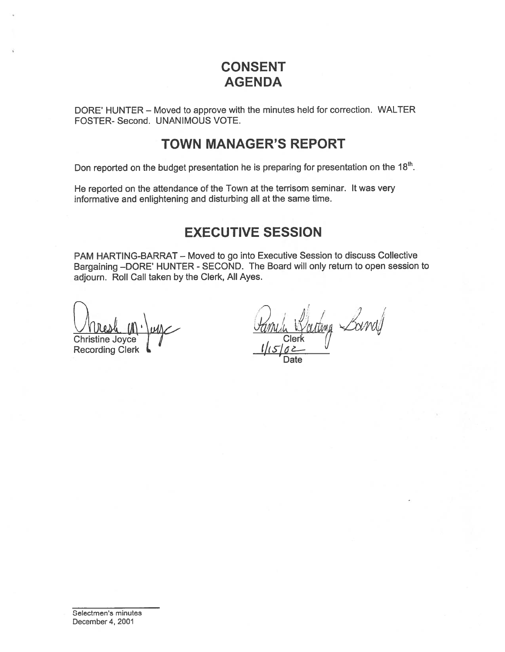# CONSENT AGENDA

DORE' HUNTER — Moved to approve with the minutes held for correction. WALTER FOSTER- Second. UNANIMOUS VOTE.

## TOWN MANAGER'S REPORT

Don reported on the budget presentation he is preparing for presentation on the 18<sup>th</sup>.

He reported on the attendance of the Town at the terrisom seminar. It was very informative and enlightening and disturbing all at the same time.

## EXECUTIVE SESSION

PAM HARTING-BARRAT — Moved to go into Executive Session to discuss Collective Bargaining —DORE' HUNTER - SECOND. The Board will only return to open session to adjourn. Roll Call taken by the Clerk, All Ayes. CONSENT<br>
CONSENT<br>
AGENDA<br>
DORE' HUNTER – Moved to approve with the minutes held for<br>
FOSTER- Second. UNANIMOUS VOTE.<br> **TOWN MANAGER'S REPO**<br>
Don reported on the budget presentation he is preparing for pre<br>
He reported on t

Christine Joyce  $\int$  / Clerk

Date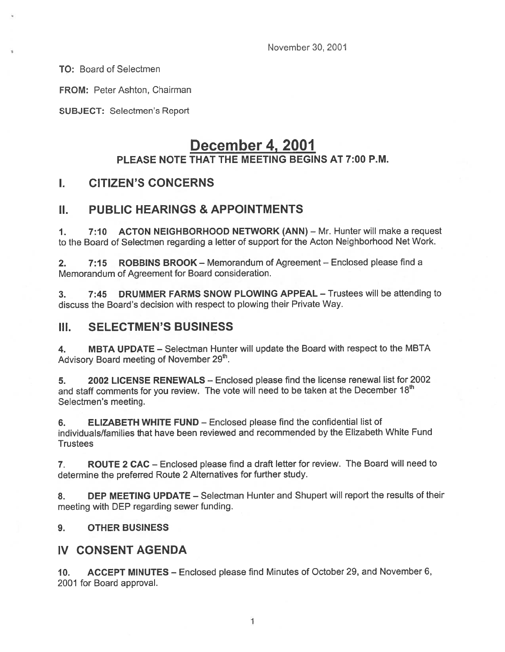November 30, 2001

TO: Board of Selectmen

FROM: Peter Ashton, Chairman

SUBJECT: Selectmen's Report

## December 4, 2001 PLEASE NOTE THAT THE MEETING BEGINS AT 7:00 P.M.

## I. CITIZEN'S CONCERNS

## II. PUBLIC HEARINGS & APPOINTMENTS

1. 7:10 ACTON NEIGHBORHOOD NETWORK (ANN) - Mr. Hunter will make a request to the Board of Selectmen regarding <sup>a</sup> letter of suppor<sup>t</sup> for the Acton Neighborhood Net Work.

2. 7:15 ROBBINS BROOK – Memorandum of Agreement – Enclosed please find a Memorandum of Agreement for Board consideration.

3. 7:45 DRUMMER FARMS SNOW PLOWING APPEAL — Trustees will be attending to discuss the Board's decision with respec<sup>t</sup> to plowing their Private Way.

### III. SELECTMEN'S BUSINESS

4. MBTA UPDATE - Selectman Hunter will update the Board with respect to the MBTA Advisory Board meeting of November 29<sup>th</sup>.

5. 2002 LICENSE RENEWALS — Enclosed please find the license renewal list for 2002 and staff comments for you review. The vote will need to be taken at the December  $18<sup>th</sup>$ Selectmen's meeting.

6. ELIZABETH WHITE FUND — Enclosed please find the confidential list of individuals/families that have been reviewed and recommended by the Elizabeth White Fund **Trustees** 

7. ROUTE <sup>2</sup> CAC — Enclosed <sup>p</sup>lease find <sup>a</sup> draft letter for review. The Board will need to determine the preferred Route <sup>2</sup> Alternatives for further study.

8. DEP MEETING UPDATE – Selectman Hunter and Shupert will report the results of their meeting with DEP regarding sewer funding.

### 9. OTHER BUSINESS

### IV CONSENT AGENDA

10. ACCEPT MINUTES — Enclosed <sup>p</sup>lease find Minutes of October 29, and November 6, 2001 for Board approval.